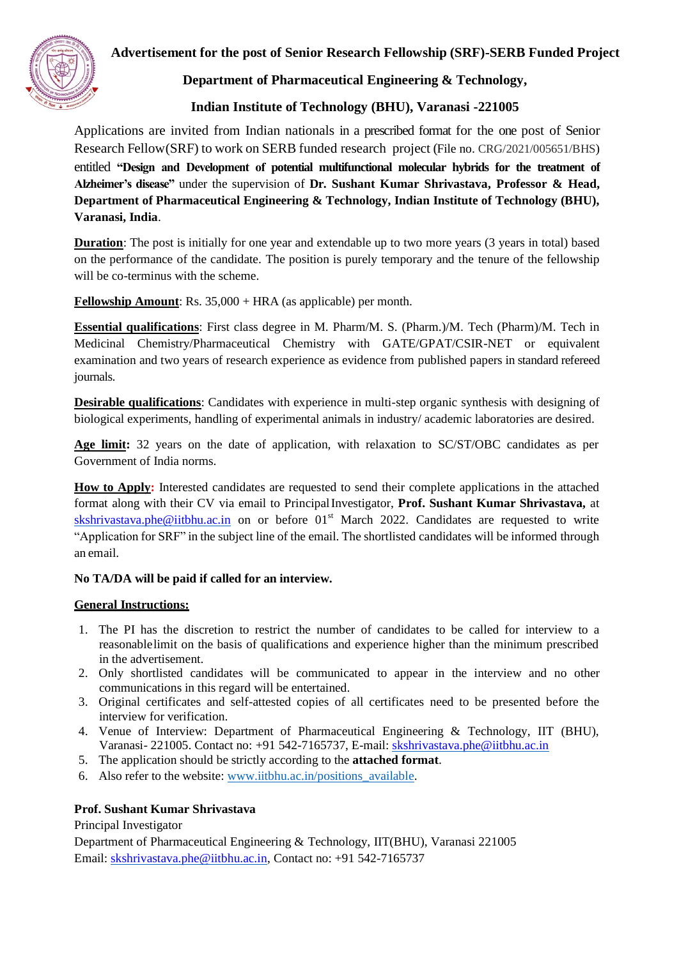

## **Advertisement for the post of Senior Research Fellowship (SRF)-SERB Funded Project**

**Department of Pharmaceutical Engineering & Technology,**

# **Indian Institute of Technology (BHU), Varanasi -221005**

Applications are invited from Indian nationals in a prescribed format for the one post of Senior Research Fellow(SRF) to work on SERB funded research project (File no. CRG/2021/005651/BHS) entitled **"Design and Development of potential multifunctional molecular hybrids for the treatment of Alzheimer's disease"** under the supervision of **Dr. Sushant Kumar Shrivastava, Professor & Head, Department of Pharmaceutical Engineering & Technology, Indian Institute of Technology (BHU), Varanasi, India**.

**Duration**: The post is initially for one year and extendable up to two more years (3 years in total) based on the performance of the candidate. The position is purely temporary and the tenure of the fellowship will be co-terminus with the scheme.

**Fellowship Amount**: Rs. 35,000 + HRA (as applicable) per month.

**Essential qualifications**: First class degree in M. Pharm/M. S. (Pharm.)/M. Tech (Pharm)/M. Tech in Medicinal Chemistry/Pharmaceutical Chemistry with GATE/GPAT/CSIR-NET or equivalent examination and two years of research experience as evidence from published papers in standard refereed journals.

**Desirable qualifications**: Candidates with experience in multi-step organic synthesis with designing of biological experiments, handling of experimental animals in industry/ academic laboratories are desired.

**Age limit:** 32 years on the date of application, with relaxation to SC/ST/OBC candidates as per Government of India norms.

**How to Apply:** Interested candidates are requested to send their complete applications in the attached format along with their CV via email to PrincipalInvestigator, **Prof. Sushant Kumar Shrivastava,** at [skshrivastava.phe@iitbhu.ac.in](mailto:skshrivastava.phe@iitbhu.ac.in) on or before  $01<sup>st</sup>$  March 2022. Candidates are requested to write "Application for SRF" in the subject line of the email. The shortlisted candidates will be informed through an email.

### **No TA/DA will be paid if called for an interview.**

### **General Instructions:**

- 1. The PI has the discretion to restrict the number of candidates to be called for interview to a reasonablelimit on the basis of qualifications and experience higher than the minimum prescribed in the advertisement.
- 2. Only shortlisted candidates will be communicated to appear in the interview and no other communications in this regard will be entertained.
- 3. Original certificates and self-attested copies of all certificates need to be presented before the interview for verification.
- 4. Venue of Interview: Department of Pharmaceutical Engineering & Technology, IIT (BHU), Varanasi- 221005. Contact no: +91 542-7165737, E-mail: [skshrivastava.phe@iitbhu.ac.in](mailto:skshrivastava.phe@iitbhu.ac.in)
- 5. The application should be strictly according to the **attached format**.
- 6. Also refer to the website: [www.iitbhu.ac.in/positions\\_available.](http://www.iitbhu.ac.in/positions_available)

## **Prof. Sushant Kumar Shrivastava**

Principal Investigator

Department of Pharmaceutical Engineering & Technology, IIT(BHU), Varanasi 221005 Email: [skshrivastava.phe@iitbhu.ac.in](mailto:skshrivastava.phe@iitbhu.ac.in)[, C](mailto:Rajnish.phe@iitbhu.ac.in)ontact no: +91 542-7165737